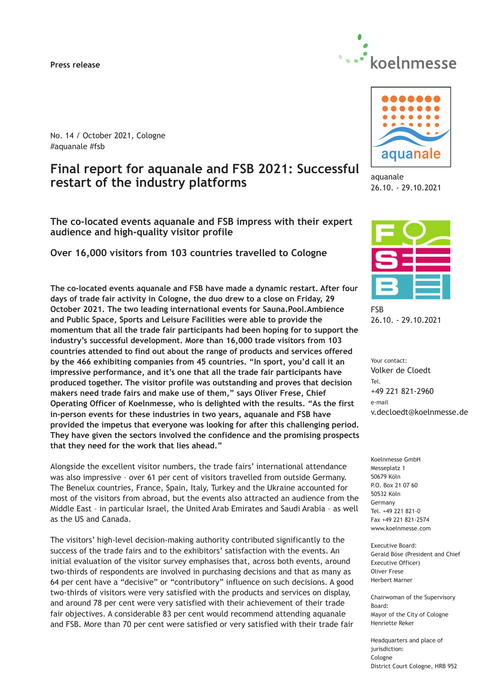#### **Press release**



No. 14 / October 2021, Cologne #aquanale #fsb

# **Final report for aquanale and FSB 2021: Successful restart of the industry platforms**

**The co-located events aquanale and FSB impress with their expert audience and high-quality visitor profile**

**Over 16,000 visitors from 103 countries travelled to Cologne**

**The co-located events aquanale and FSB have made a dynamic restart. After four days of trade fair activity in Cologne, the duo drew to a close on Friday, 29 October 2021. The two leading international events for Sauna.Pool.Ambience and Public Space, Sports and Leisure Facilities were able to provide the momentum that all the trade fair participants had been hoping for to support the industry's successful development. More than 16,000 trade visitors from 103 countries attended to find out about the range of products and services offered by the 466 exhibiting companies from 45 countries. "In sport, you'd call it an impressive performance, and it's one that all the trade fair participants have produced together. The visitor profile was outstanding and proves that decision makers need trade fairs and make use of them," says Oliver Frese, Chief Operating Officer of Koelnmesse, who is delighted with the results. "As the first in-person events for these industries in two years, aquanale and FSB have provided the impetus that everyone was looking for after this challenging period. They have given the sectors involved the confidence and the promising prospects that they need for the work that lies ahead."**

Alongside the excellent visitor numbers, the trade fairs' international attendance was also impressive – over 61 per cent of visitors travelled from outside Germany. The Benelux countries, France, Spain, Italy, Turkey and the Ukraine accounted for most of the visitors from abroad, but the events also attracted an audience from the Middle East – in particular Israel, the United Arab Emirates and Saudi Arabia – as well as the US and Canada.

The visitors' high-level decision-making authority contributed significantly to the success of the trade fairs and to the exhibitors' satisfaction with the events. An initial evaluation of the visitor survey emphasises that, across both events, around two-thirds of respondents are involved in purchasing decisions and that as many as 64 per cent have a "decisive" or "contributory" influence on such decisions. A good two-thirds of visitors were very satisfied with the products and services on display, and around 78 per cent were very satisfied with their achievement of their trade fair objectives. A considerable 83 per cent would recommend attending aquanale and FSB. More than 70 per cent were satisfied or very satisfied with their trade fair



aquanale 26.10. - 29.10.2021



FSB 26.10. - 29.10.2021

Your contact: Volker de Cloedt Tel. +49 221 821-2960 e-mail v.decloedt@koelnmesse.de

Koelnmesse GmbH Messeplatz 1 50679 Köln P.O. Box 21 07 60 50532 Köln Germany Tel. +49 221 821-0 Fax +49 221 821-2574 www.koelnmesse.com

Executive Board: Gerald Böse (President and Chief Executive Officer) Oliver Frese Herbert Marner

Chairwoman of the Supervisory Board: Mayor of the City of Cologne Henriette Reker

Headquarters and place of jurisdiction: Cologne District Court Cologne, HRB 952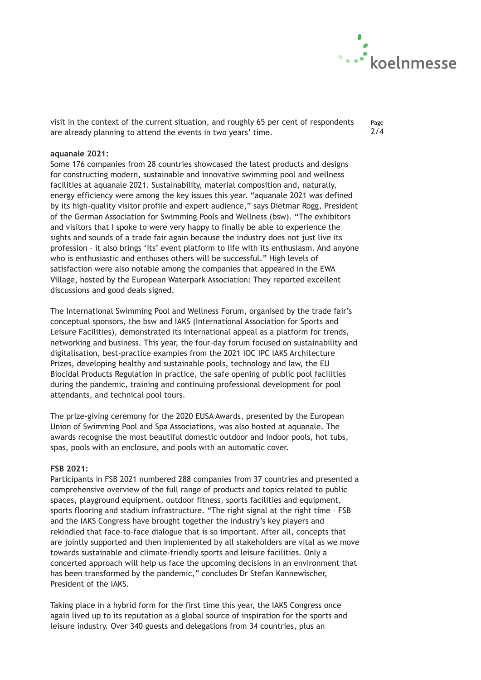

Page 2/4

visit in the context of the current situation, and roughly 65 per cent of respondents are already planning to attend the events in two years' time.

## **aquanale 2021:**

Some 176 companies from 28 countries showcased the latest products and designs for constructing modern, sustainable and innovative swimming pool and wellness facilities at aquanale 2021. Sustainability, material composition and, naturally, energy efficiency were among the key issues this year. "aquanale 2021 was defined by its high-quality visitor profile and expert audience," says Dietmar Rogg, President of the German Association for Swimming Pools and Wellness (bsw). "The exhibitors and visitors that I spoke to were very happy to finally be able to experience the sights and sounds of a trade fair again because the industry does not just live its profession – it also brings 'its' event platform to life with its enthusiasm. And anyone who is enthusiastic and enthuses others will be successful." High levels of satisfaction were also notable among the companies that appeared in the EWA Village, hosted by the European Waterpark Association: They reported excellent discussions and good deals signed.

The International Swimming Pool and Wellness Forum, organised by the trade fair's conceptual sponsors, the bsw and IAKS (International Association for Sports and Leisure Facilities), demonstrated its international appeal as a platform for trends, networking and business. This year, the four-day forum focused on sustainability and digitalisation, best-practice examples from the 2021 IOC IPC IAKS Architecture Prizes, developing healthy and sustainable pools, technology and law, the EU Biocidal Products Regulation in practice, the safe opening of public pool facilities during the pandemic, training and continuing professional development for pool attendants, and technical pool tours.

The prize-giving ceremony for the 2020 EUSA Awards, presented by the European Union of Swimming Pool and Spa Associations, was also hosted at aquanale. The awards recognise the most beautiful domestic outdoor and indoor pools, hot tubs, spas, pools with an enclosure, and pools with an automatic cover.

### **FSB 2021:**

Participants in FSB 2021 numbered 288 companies from 37 countries and presented a comprehensive overview of the full range of products and topics related to public spaces, playground equipment, outdoor fitness, sports facilities and equipment, sports flooring and stadium infrastructure. "The right signal at the right time – FSB and the IAKS Congress have brought together the industry's key players and rekindled that face-to-face dialogue that is so important. After all, concepts that are jointly supported and then implemented by all stakeholders are vital as we move towards sustainable and climate-friendly sports and leisure facilities. Only a concerted approach will help us face the upcoming decisions in an environment that has been transformed by the pandemic," concludes Dr Stefan Kannewischer, President of the IAKS.

Taking place in a hybrid form for the first time this year, the IAKS Congress once again lived up to its reputation as a global source of inspiration for the sports and leisure industry. Over 340 guests and delegations from 34 countries, plus an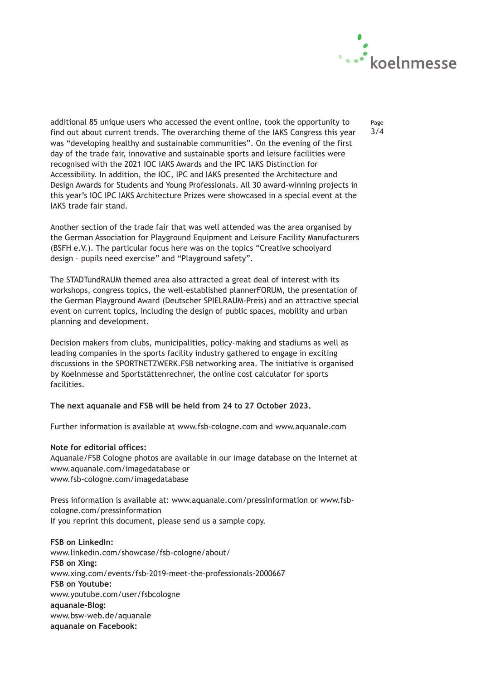

Page 3/4

additional 85 unique users who accessed the event online, took the opportunity to find out about current trends. The overarching theme of the IAKS Congress this year was "developing healthy and sustainable communities". On the evening of the first day of the trade fair, innovative and sustainable sports and leisure facilities were recognised with the 2021 IOC IAKS Awards and the IPC IAKS Distinction for Accessibility. In addition, the IOC, IPC and IAKS presented the Architecture and Design Awards for Students and Young Professionals. All 30 award-winning projects in this year's IOC IPC IAKS Architecture Prizes were showcased in a special event at the IAKS trade fair stand.

Another section of the trade fair that was well attended was the area organised by the German Association for Playground Equipment and Leisure Facility Manufacturers (BSFH e.V.). The particular focus here was on the topics "Creative schoolyard design – pupils need exercise" and "Playground safety".

The STADTundRAUM themed area also attracted a great deal of interest with its workshops, congress topics, the well-established plannerFORUM, the presentation of the German Playground Award (Deutscher SPIELRAUM-Preis) and an attractive special event on current topics, including the design of public spaces, mobility and urban planning and development.

Decision makers from clubs, municipalities, policy-making and stadiums as well as leading companies in the sports facility industry gathered to engage in exciting discussions in the SPORTNETZWERK.FSB networking area. The initiative is organised by Koelnmesse and Sportstättenrechner, the online cost calculator for sports facilities.

### **The next aquanale and FSB will be held from 24 to 27 October 2023.**

Further information is available at www.fsb-cologne.com and www.aquanale.com

# **Note for editorial offices:**

Aquanale/FSB Cologne photos are available in our image database on the Internet at www.aquanale.com/imagedatabase or www.fsb-cologne.com/imagedatabase

Press information is available at: www.aquanale.com/pressinformation or www.fsbcologne.com/pressinformation If you reprint this document, please send us a sample copy.

**FSB on LinkedIn:** www.linkedin.com/showcase/fsb-cologne/about/ **FSB on Xing:** www.xing.com/events/fsb-2019-meet-the-professionals-2000667 **FSB on Youtube:** www.youtube.com/user/fsbcologne **aquanale-Blog:** www.bsw-web.de/aquanale **aquanale on Facebook:**